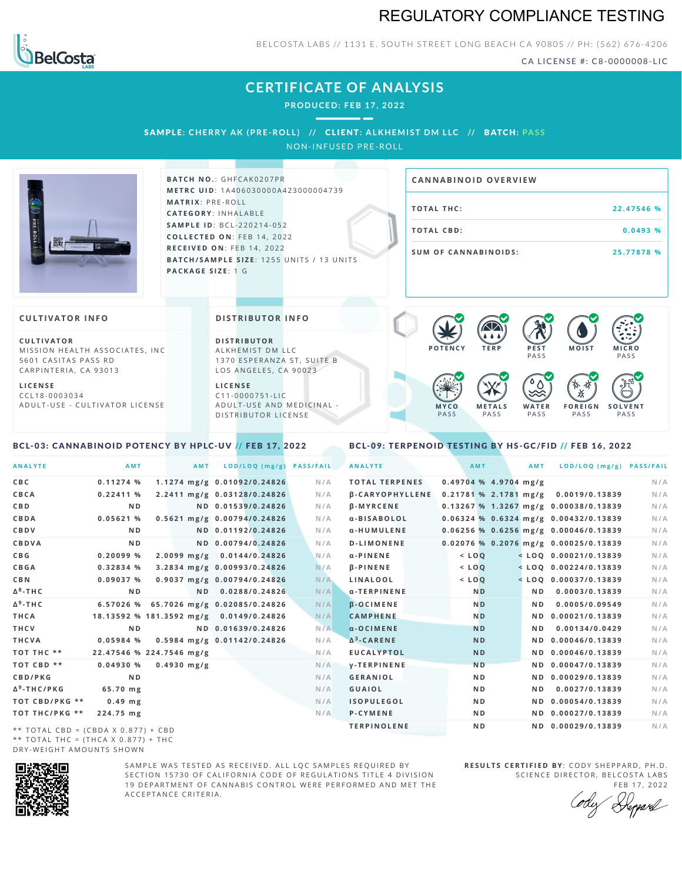# REGULATORY COMPLIANCE TESTING



BELCOSTA LABS // 1131 E. SOUTH STREET LONG BEACH CA 90805 // PH: (562) 676-4206

CA LICENSE #: C8-0000008-LIC

**M O IS T M IC R O PASS** 

**S O L V E N T** PA S S

# **CERTIFICATE OF ANALYSIS**

**PRODUCED: F EB 17, 2022**

SAMPLE: CHERRY AK (PRE-ROLL) // CLIENT: ALKHEMIST DM LLC // BATCH: PASS

NON-INFUSED PRE-ROLL



**BATCH NO.: GHFCAK0207PR M E T R C U ID** :1 A 4 0 6 0 3 0 0 0 0 A 4 2 3 0 0 0 0 0 4 7 3 9 **M AT R I X** :P R E - R O L L **CAT E G O R Y** : I N H A L A B L E **SA M P L E I D** :B C L - 2 2 0 2 1 4 - 0 5 2 **C O L L E C T E D O N** :F E B 1 4 , 2 0 2 2 **R E C E I V E D O N** : F E B 1 4 , 2 0 2 2 **BATCH/SAMPLE SIZE:** 1255 UNITS / 13 UNITS **PAC KA G E S I Z E** : 1 G

# **T O TAL T H C :2 2 . 4 7 5 4 6 % T O TAL CB D :0 . 0 4 9 3 % S U M O F CA N N ABI N O I D S : 2 5 . 7 7 8 7 8 % CA N N ABI N OID OVERVI EW**

PA S S

 $\bullet$  60 60 60 60

 $\bullet$  0.0 0.0 0.0

**W A T E R** PA S S

**F O R E I G N** PA S S

祇

### **CULTIVATOR I N FO**

**C U L T I VAT O R** MISSION HEALTH ASSOCIATES, INC. 5601 CASITAS PASS RD CARPINTERIA, CA 93013

**L I C E N S E** C C L 1 8 - 0 0 0 3 0 3 4 A D U L T - U S E - C U L T I V A T O R L I C E N S E **DI STRIBUTOR I N FO**

**D I S T R IB U T O R** ALKHEMIST DM LLC 1370 ESPERANZA ST, SUITE B LOS ANGELES, CA 90023

**L I C E N S E** C 1 1 - 0 0 0 0 7 5 1 - L I C A D U L T - U S E A N D M E D I C I N A L -D ISTRIBUTOR LICENSE

#### <span id="page-0-0"></span>BCL-03: CANNABINOID POTENCY BY HPLC-UV // FEB 17, 2022

#### <span id="page-0-1"></span>BCL-09: TERPENOID TESTING BY HS-GC/FID // FEB 16, 2022

**M E T A L S** PA S S

**M Y C O** PA S S

**P O T E N C Y T E R P P E S T**

| <b>ANALYTE</b>                      | AMT            | <b>AMT</b>                              | LOD/LOQ (mg/g)              | <b>PASS/FAIL</b> | <b>ANALYTE</b>         | <b>AMT</b>     | <b>AMT</b>              | LOD/LOQ (mg/g) PASS/FAIL                |     |
|-------------------------------------|----------------|-----------------------------------------|-----------------------------|------------------|------------------------|----------------|-------------------------|-----------------------------------------|-----|
| C B C                               | 0.11274%       |                                         | 1.1274 mg/g 0.01092/0.24826 | N/A              | <b>TOTAL TERPENES</b>  |                | $0.49704$ % 4.9704 mg/g |                                         | N/A |
| CBCA                                | 0.22411%       |                                         | 2.2411 mg/g 0.03128/0.24826 | N/A              | <b>B-CARYOPHYLLENE</b> |                |                         | 0.21781 % 2.1781 mg/g 0.0019/0.13839    | N/A |
| C B D                               | N <sub>D</sub> |                                         | ND 0.01539/0.24826          | N/A              | <b>B-MYRCENE</b>       |                |                         | 0.13267 % 1.3267 mg/g 0.00038/0.13839   | N/A |
| <b>CBDA</b>                         | 0.05621%       |                                         | 0.5621 mg/g 0.00794/0.24826 | N/A              | α-BISABOLOL            |                |                         | $0.06324$ % 0.6324 mg/g 0.00432/0.13839 | N/A |
| <b>CBDV</b>                         | N <sub>D</sub> |                                         | ND 0.01192/0.24826          | N/A              | α-HUMULENE             |                |                         | $0.06256$ % 0.6256 mg/g 0.00046/0.13839 | N/A |
| <b>CBDVA</b>                        | ND.            |                                         | ND 0.00794/0.24826          | N/A              | <b>D-LIMONENE</b>      |                |                         | $0.02076$ % 0.2076 mg/g 0.00025/0.13839 | N/A |
| C B G                               | 0.20099%       |                                         | 2.0099 mg/g 0.0144/0.24826  | N/A              | $\alpha$ -PINENE       | $<$ LOO        |                         | $<$ LOQ 0.00021/0.13839                 | N/A |
| <b>CBGA</b>                         | 0.32834 %      |                                         | 3.2834 mg/g 0.00993/0.24826 | N/A              | <b>B-PINENE</b>        | $<$ $LOQ$      |                         | $<$ LOQ 0.00224/0.13839                 | N/A |
| C B N                               | 0.09037%       |                                         | 0.9037 mg/g 0.00794/0.24826 | N/A              | LINALOOL               | $<$ $LOQ$      |                         | $<$ LOQ 0.00037/0.13839                 | N/A |
| Δ <sup>8</sup> -ΤΗ C                | N <sub>D</sub> |                                         | ND 0.0288/0.24826           | N/A              | α-TERPINENE            | <b>ND</b>      | N D                     | 0.0003/0.13839                          | N/A |
| Δ <sup>9</sup> -ΤΗ C                | 6.57026 %      | 65.7026 mg/g 0.02085/0.24826            |                             | N/A              | <b>B-OCIMENE</b>       | N <sub>D</sub> | ND.                     | 0.0005/0.09549                          | N/A |
| THCA                                |                | 18.13592 % 181.3592 mg/g 0.0149/0.24826 |                             | N/A              | <b>CAMPHENE</b>        | N <sub>D</sub> |                         | ND 0.00021/0.13839                      | N/A |
| THCV                                | N <sub>D</sub> |                                         | ND 0.01639/0.24826          | N/A              | $\alpha$ -OCIMENE      | <b>ND</b>      | ND.                     | 0.00134/0.0429                          | N/A |
| THCVA                               | 0.05984%       |                                         | 0.5984 mg/g 0.01142/0.24826 | N/A              | $\Delta^3$ -CARENE     | <b>ND</b>      |                         | ND 0.00046/0.13839                      | N/A |
| тот тнс **                          |                | 22.47546 % 224.7546 mg/g                |                             | N/A              | <b>EUCALYPTOL</b>      | <b>ND</b>      |                         | ND 0.00046/0.13839                      | N/A |
| TOT CBD **                          | 0.04930%       | $0.4930$ mg/g                           |                             | N/A              | <b>V-TERPINENE</b>     | <b>ND</b>      |                         | ND 0.00047/0.13839                      | N/A |
| <b>CBD/PKG</b>                      | N <sub>D</sub> |                                         |                             | N/A              | <b>GERANIOL</b>        | N <sub>D</sub> |                         | ND 0.00029/0.13839                      | N/A |
| Δ <sup>9</sup> -THC/PKG             | 65.70 mg       |                                         |                             | N/A              | <b>GUAIOL</b>          | N <sub>D</sub> | N D                     | 0.0027/0.13839                          | N/A |
| ТОТ СВD/РКG **                      | $0.49$ mg      |                                         |                             | N/A              | <b>ISOPULEGOL</b>      | N <sub>D</sub> |                         | ND 0.00054/0.13839                      | N/A |
| ТОТ ТНС/РКG **                      | 224.75 mg      |                                         |                             | N/A              | P-CYMENE               | N <sub>D</sub> |                         | ND 0.00027/0.13839                      | N/A |
| ** TOTAL CRD - (CRDA V 0 977) + CRD |                |                                         |                             |                  | <b>TERPINOLENE</b>     | N <sub>D</sub> |                         | ND 0.00029/0.13839                      | N/A |

\*\* TOTAL CBD =  $(CBDA X 0.877) + CBD$ \*\* TOTAL THC =  $(THCA X 0.877) + THC$ DRY-WEIGHT AMOUNTS SHOWN



SAMPLE WAS TESTED AS RECEIVED. ALL LOC SAMPLES REQUIRED BY SECTION 15730 OF CALIFORNIA CODE OF REGULATIONS TITLE 4 DIVISION 19 DEPARTMENT OF CANNABIS CONTROL WERE PERFORMED AND MET THE A C C E P T A N C E C R I T E R I A .

**R E S U L T S C E R T I F I E D BY** : C O D Y S H E P P A R D ,P H .D . SCIENCE DIRECTOR, BELCOSTA LABS

FEB 17, 2022 Deppard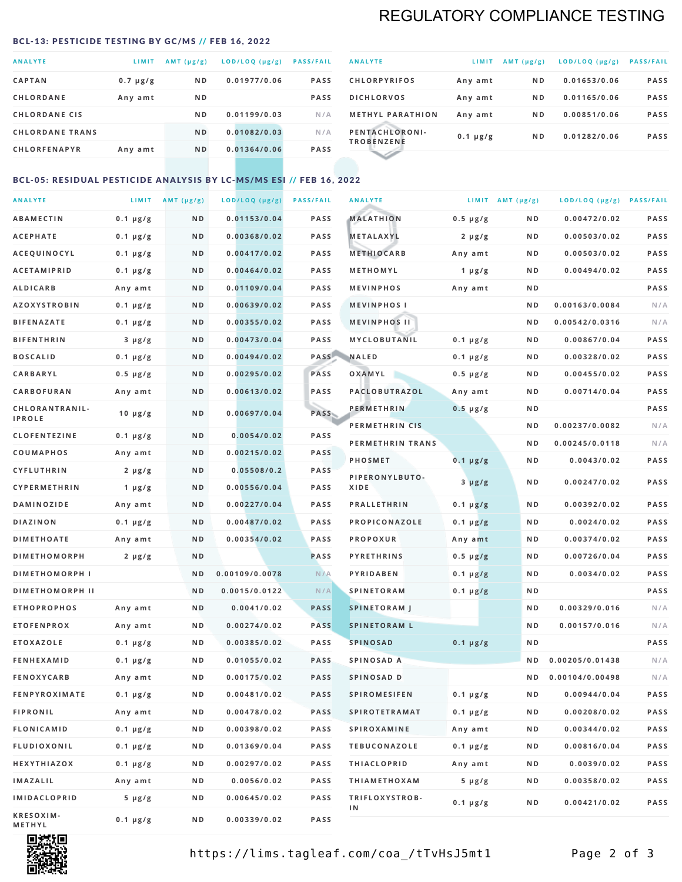# REGULATORY COMPLIANCE TESTING

#### <span id="page-1-0"></span>BCL-13: PESTICIDE TESTING BY GC/MS // FEB 16, 2022

| <b>ANALYTE</b>         | LIMIT         | $AMT(\mu g/g)$ | LOD/LOQ (µg/g) | <b>PASS/FAIL</b> |
|------------------------|---------------|----------------|----------------|------------------|
| <b>CAPTAN</b>          | $0.7 \mu g/g$ | N <sub>D</sub> | 0.01977/0.06   | <b>PASS</b>      |
| <b>CHLORDANE</b>       | Any amt       | N <sub>D</sub> |                | <b>PASS</b>      |
| <b>CHLORDANE CIS</b>   |               | ND.            | 0.01199/0.03   | N/A              |
| <b>CHLORDANE TRANS</b> |               | N <sub>D</sub> | 0.01082/0.03   | N/A              |
| <b>CHLORFENAPYR</b>    | Any amt       | N <sub>D</sub> | 0.01364/0.06   | <b>PASS</b>      |
|                        |               |                |                |                  |

| <b>ANALYTE</b>                      | LIMIT         | $AMT (\mu g/g)$ | LOD/LOQ (µg/g) | <b>PASS/FAIL</b> |
|-------------------------------------|---------------|-----------------|----------------|------------------|
| <b>CHLORPYRIFOS</b>                 | Any amt       | N <sub>D</sub>  | 0.01653/0.06   | <b>PASS</b>      |
| <b>DICHLORVOS</b>                   | Any amt       | N <sub>D</sub>  | 0.01165/0.06   | <b>PASS</b>      |
| <b>METHYL PARATHION</b>             | Any amt       | N <sub>D</sub>  | 0.00851/0.06   | <b>PASS</b>      |
| PENTACHLORONI-<br><b>TROBENZENE</b> | $0.1 \mu g/g$ | N <sub>D</sub>  | 0.01282/0.06   | <b>PASS</b>      |
|                                     |               |                 |                |                  |

### BCL-05: RESIDUAL PESTICIDE ANALYSIS BY LC-MS/MS ESI // FEB 16, 2022

| <b>ANALYTE</b>             |               | LIMIT $AMT(\mu g/g)$ | LOD/LOQ (µg/g) | <b>PASS/FAIL</b> | <b>ANALYTE</b>       |                  | LIMIT AMT $(\mu g/g)$ | LOD/LOQ (µg/g) PASS/FAIL |      |
|----------------------------|---------------|----------------------|----------------|------------------|----------------------|------------------|-----------------------|--------------------------|------|
| <b>ABAMECTIN</b>           | $0.1 \mu g/g$ | N D                  | 0.01153/0.04   | <b>PASS</b>      | <b>MALATHION</b>     | $0.5 \mu g/g$    | N D                   | 0.00472/0.02             | PASS |
| <b>ACEPHATE</b>            | $0.1 \mu g/g$ | N D                  | 0.00368/0.02   | <b>PASS</b>      | <b>METALAXYL</b>     | $2 \mu g/g$      | N D                   | 0.00503/0.02             | PASS |
| ACEQUINOCYL                | $0.1 \mu g/g$ | N D                  | 0.00417/0.02   | <b>PASS</b>      | <b>METHIOCARB</b>    | Any amt          | N D                   | 0.00503/0.02             | PASS |
| <b>ACETAMIPRID</b>         | $0.1 \mu g/g$ | N D                  | 0.00464/0.02   | <b>PASS</b>      | METHOMYL             | 1 $\mu$ g/g      | N D                   | 0.00494/0.02             | PASS |
| <b>ALDICARB</b>            | Any amt       | N D                  | 0.01109/0.04   | <b>PASS</b>      | <b>MEVINPHOS</b>     | Any amt          | N D                   |                          | PASS |
| <b>AZOXYSTROBIN</b>        | $0.1 \mu g/g$ | N D                  | 0.00639/0.02   | <b>PASS</b>      | <b>MEVINPHOSI</b>    |                  | N D                   | 0.00163/0.0084           | N/A  |
| <b>BIFENAZATE</b>          | $0.1 \mu g/g$ | N D                  | 0.00355/0.02   | <b>PASS</b>      | <b>MEVINPHOS II</b>  |                  | N D                   | 0.00542/0.0316           | N/A  |
| <b>BIFENTHRIN</b>          | $3 \mu g/g$   | N D                  | 0.00473/0.04   | <b>PASS</b>      | <b>MYCLOBUTANIL</b>  | $0.1 \mu g/g$    | N D                   | 0.00867/0.04             | PASS |
| <b>BOSCALID</b>            | $0.1 \mu g/g$ | N D                  | 0.00494/0.02   | PASS             | <b>NALED</b>         | $0.1 \mu g/g$    | N D                   | 0.00328/0.02             | PASS |
| CARBARYL                   | $0.5 \mu g/g$ | N D                  | 0.00295/0.02   | PASS             | OXAMYL               | $0.5 \, \mu g/g$ | N D                   | 0.00455/0.02             | PASS |
| CARBOFURAN                 | Any amt       | N D                  | 0.00613/0.02   | <b>PASS</b>      | PACLOBUTRAZOL        | Any amt          | N D                   | 0.00714/0.04             | PASS |
| CHLORANTRANIL-             | $10 \mu g/g$  | N D                  | 0.00697/0.04   | PASS             | <b>PERMETHRIN</b>    | $0.5 \mu g/g$    | N D                   |                          | PASS |
| <b>IPROLE</b>              |               |                      |                |                  | PERMETHRIN CIS       |                  | N D                   | 0.00237/0.0082           | N/A  |
| <b>CLOFENTEZINE</b>        | $0.1 \mu g/g$ | N D                  | 0.0054/0.02    | <b>PASS</b>      | PERMETHRIN TRANS     |                  | N D                   | 0.00245/0.0118           | N/A  |
| <b>COUMAPHOS</b>           | Any amt       | N D                  | 0.00215/0.02   | <b>PASS</b>      | <b>PHOSMET</b>       | $0.1 \, \mu g/g$ | N D                   | 0.0043/0.02              | PASS |
| <b>CYFLUTHRIN</b>          | $2 \mu g/g$   | N D                  | 0.05508/0.2    | <b>PASS</b>      | PIPERONYLBUTO-       | $3 \mu g/g$      | N D                   | 0.00247/0.02             | PASS |
| CYPERMETHRIN               | 1 $\mu$ g/g   | N D                  | 0.00556/0.04   | <b>PASS</b>      | XIDE                 |                  |                       |                          |      |
| <b>DAMINOZIDE</b>          | Any amt       | N D                  | 0.00227/0.04   | <b>PASS</b>      | <b>PRALLETHRIN</b>   | $0.1 \mu g/g$    | N D                   | 0.00392/0.02             | PASS |
| <b>DIAZINON</b>            | $0.1 \mu g/g$ | N D                  | 0.00487/0.02   | <b>PASS</b>      | PROPICONAZOLE        | $0.1 \mu g/g$    | N D                   | 0.0024/0.02              | PASS |
| <b>DIMETHOATE</b>          | Any amt       | N D                  | 0.00354/0.02   | <b>PASS</b>      | <b>PROPOXUR</b>      | Any amt          | N D                   | 0.00374/0.02             | PASS |
| <b>DIMETHOMORPH</b>        | $2 \mu g/g$   | ND                   |                | PASS             | <b>PYRETHRINS</b>    | $0.5 \mu g/g$    | N D                   | 0.00726/0.04             | PASS |
| <b>DIMETHOMORPH I</b>      |               | ND                   | 0.00109/0.0078 | N/A              | <b>PYRIDABEN</b>     | $0.1 \mu g/g$    | N D                   | 0.0034/0.02              | PASS |
| <b>DIMETHOMORPH II</b>     |               | ND                   | 0.0015/0.0122  | N/A              | <b>SPINETORAM</b>    | $0.1 \mu g/g$    | N D                   |                          | PASS |
| <b>ETHOPROPHOS</b>         | Any amt       | N D                  | 0.0041/0.02    | <b>PASS</b>      | <b>SPINETORAM J</b>  |                  | N D                   | 0.00329/0.016            | N/A  |
| <b>ETOFENPROX</b>          | Any amt       | N D                  | 0.00274/0.02   | <b>PASS</b>      | <b>SPINETORAM L</b>  |                  | N D                   | 0.00157/0.016            | N/A  |
| <b>ETOXAZOLE</b>           | $0.1 \mu g/g$ | N D                  | 0.00385/0.02   | <b>PASS</b>      | <b>SPINOSAD</b>      | $0.1 \mu g/g$    | N D                   |                          | PASS |
| <b>FENHEXAMID</b>          | $0.1 \mu g/g$ | N D                  | 0.01055/0.02   | <b>PASS</b>      | SPINOSAD A           |                  | N D                   | 0.00205/0.01438          | N/A  |
| <b>FENOXYCARB</b>          | Any amt       | N D                  | 0.00175/0.02   | <b>PASS</b>      | SPINOSAD D           |                  | ND.                   | 0.00104/0.00498          | N/A  |
| <b>FENPYROXIMATE</b>       | $0.1 \mu g/g$ | N D                  | 0.00481/0.02   | <b>PASS</b>      | <b>SPIROMESIFEN</b>  | $0.1 \, \mu g/g$ | N D                   | 0.00944/0.04             | PASS |
| <b>FIPRONIL</b>            | Any amt       | N D                  | 0.00478/0.02   | PASS             | <b>SPIROTETRAMAT</b> | $0.1 \mu g/g$    | N D                   | 0.00208/0.02             | PASS |
| <b>FLONICAMID</b>          | $0.1 \mu g/g$ | N D                  | 0.00398/0.02   | PASS             | <b>SPIROXAMINE</b>   | Any amt          | N D                   | 0.00344/0.02             | PASS |
| FLUDIOXONIL                | $0.1 \mu g/g$ | N D                  | 0.01369/0.04   | PASS             | <b>TEBUCONAZOLE</b>  | $0.1 \mu g/g$    | N D                   | 0.00816/0.04             | PASS |
| HEXYTHIAZOX                | 0.1 µg/g      | N D                  | 0.00297/0.02   | PASS             | <b>THIACLOPRID</b>   | Any amt          | N D                   | 0.0039/0.02              | PASS |
| <b>IMAZALIL</b>            | Any amt       | N D                  | 0.0056/0.02    | PASS             | <b>THIAMETHOXAM</b>  | $5 \mu g/g$      | N D                   | 0.00358/0.02             | PASS |
| <b>IMIDACLOPRID</b>        | $5 \mu g/g$   | N D                  | 0.00645/0.02   | PASS             | TRIFLOXYSTROB-<br>1N | $0.1 \mu g/g$    | N D                   | 0.00421/0.02             | PASS |
| KRESOXIM-<br><b>METHYL</b> | $0.1 \mu g/g$ | N D                  | 0.00339/0.02   | PASS             |                      |                  |                       |                          |      |